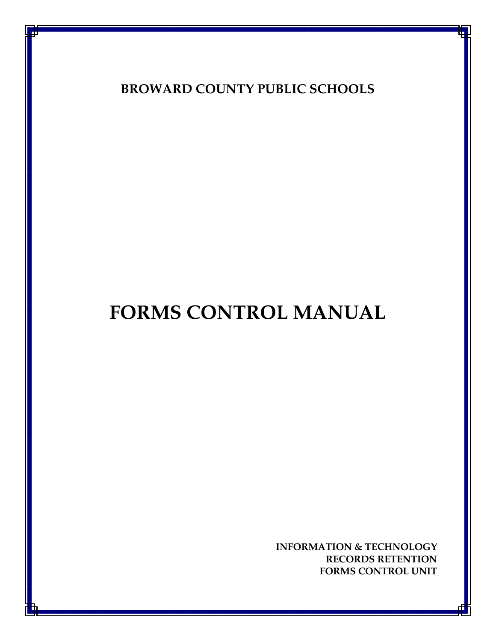**BROWARD COUNTY PUBLIC SCHOOLS**

# **FORMS CONTROL MANUAL**

**INFORMATION & TECHNOLOGY RECORDS RETENTION FORMS CONTROL UNIT**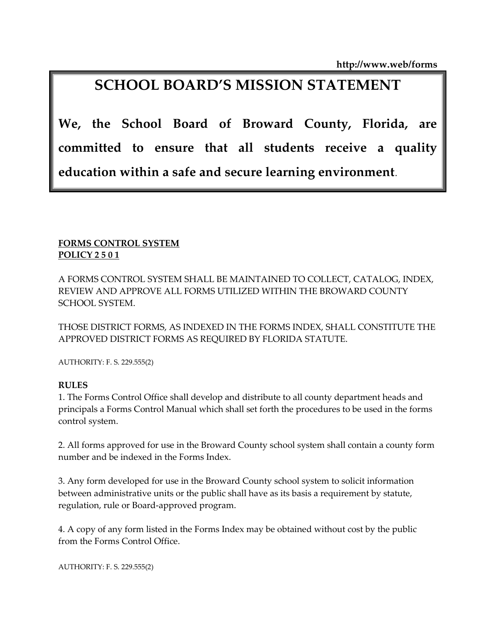**http://www.web/forms**

## **SCHOOL BOARD'S MISSION STATEMENT**

**We, the School Board of Broward County, Florida, are committed to ensure that all students receive a quality education within a safe and secure learning environment**.

#### **FORMS CONTROL SYSTEM POLICY 2 5 0 1**

A FORMS CONTROL SYSTEM SHALL BE MAINTAINED TO COLLECT, CATALOG, INDEX, REVIEW AND APPROVE ALL FORMS UTILIZED WITHIN THE BROWARD COUNTY SCHOOL SYSTEM.

THOSE DISTRICT FORMS, AS INDEXED IN THE FORMS INDEX, SHALL CONSTITUTE THE APPROVED DISTRICT FORMS AS REQUIRED BY FLORIDA STATUTE.

AUTHORITY: F. S. 229.555(2)

#### **RULES**

1. The Forms Control Office shall develop and distribute to all county department heads and principals a Forms Control Manual which shall set forth the procedures to be used in the forms control system.

2. All forms approved for use in the Broward County school system shall contain a county form number and be indexed in the Forms Index.

3. Any form developed for use in the Broward County school system to solicit information between administrative units or the public shall have as its basis a requirement by statute, regulation, rule or Board-approved program.

4. A copy of any form listed in the Forms Index may be obtained without cost by the public from the Forms Control Office.

AUTHORITY: F. S. 229.555(2)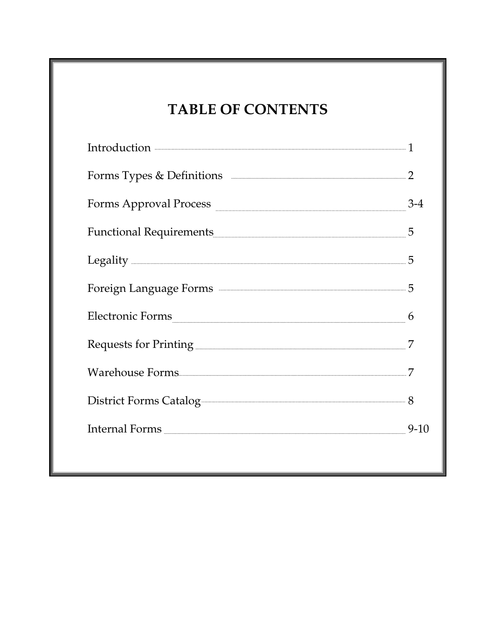## **TABLE OF CONTENTS**

| Introduction <b>contracts</b> 1                                |        |
|----------------------------------------------------------------|--------|
|                                                                |        |
| Forms Approval Process                                         | $3-4$  |
| Functional Requirements                                        | 5      |
|                                                                | 5      |
| Foreign Language Forms <b>Example 18</b> 5                     |        |
| Electronic Forms                                               | 6      |
| Requests for Printing <b>Constanting Requests</b> for Printing | 7      |
|                                                                |        |
| District Forms Catalog                                         |        |
| Internal Forms                                                 | $9-10$ |
|                                                                |        |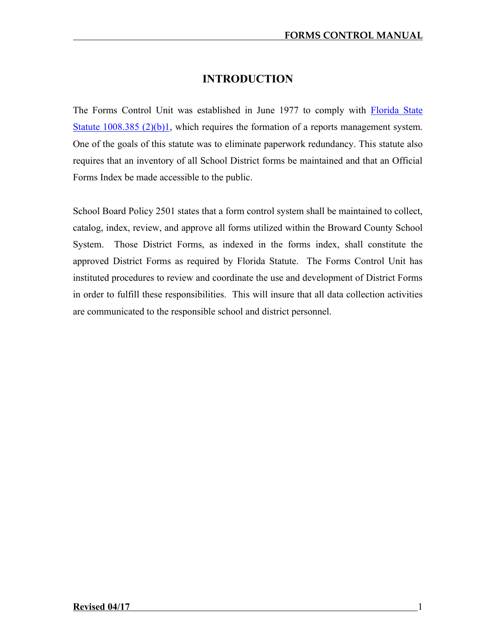### **INTRODUCTION**

The Forms Control Unit was established in June 1977 to comply with Florida State [Statute 1008.385 \(2\)\(b\)1,](http://www.leg.state.fl.us/Statutes/index.cfm?App_mode=Display_Statute&URL=1000-1099/1008/Sections/1008.385.html) which requires the formation of a reports management system. One of the goals of this statute was to eliminate paperwork redundancy. This statute also requires that an inventory of all School District forms be maintained and that an Official Forms Index be made accessible to the public.

School Board Policy 2501 states that a form control system shall be maintained to collect, catalog, index, review, and approve all forms utilized within the Broward County School System. Those District Forms, as indexed in the forms index, shall constitute the approved District Forms as required by Florida Statute. The Forms Control Unit has instituted procedures to review and coordinate the use and development of District Forms in order to fulfill these responsibilities. This will insure that all data collection activities are communicated to the responsible school and district personnel.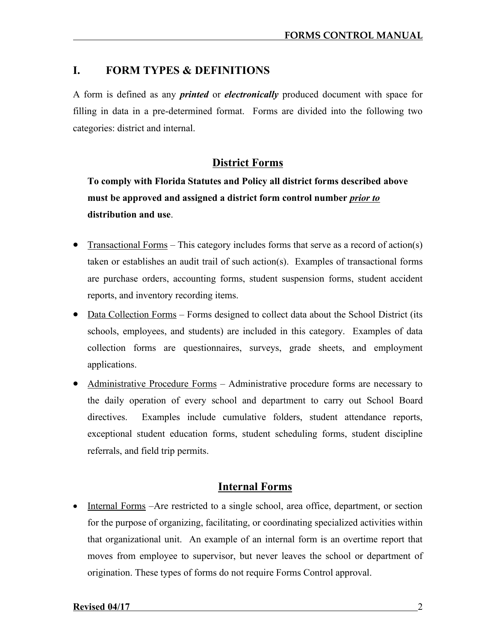#### **I. FORM TYPES & DEFINITIONS**

A form is defined as any *printed* or *electronically* produced document with space for filling in data in a pre-determined format. Forms are divided into the following two categories: district and internal.

#### **District Forms**

**To comply with Florida Statutes and Policy all district forms described above must be approved and assigned a district form control number** *prior to* **distribution and use**.

- Transactional Forms This category includes forms that serve as a record of action(s) taken or establishes an audit trail of such action(s). Examples of transactional forms are purchase orders, accounting forms, student suspension forms, student accident reports, and inventory recording items.
- Data Collection Forms Forms designed to collect data about the School District (its schools, employees, and students) are included in this category. Examples of data collection forms are questionnaires, surveys, grade sheets, and employment applications.
- Administrative Procedure Forms Administrative procedure forms are necessary to the daily operation of every school and department to carry out School Board directives. Examples include cumulative folders, student attendance reports, exceptional student education forms, student scheduling forms, student discipline referrals, and field trip permits.

#### **Internal Forms**

• Internal Forms –Are restricted to a single school, area office, department, or section for the purpose of organizing, facilitating, or coordinating specialized activities within that organizational unit. An example of an internal form is an overtime report that moves from employee to supervisor, but never leaves the school or department of origination. These types of forms do not require Forms Control approval.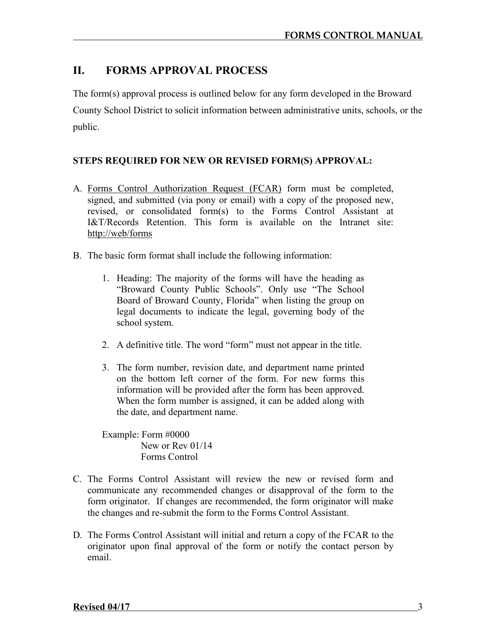### **II. FORMS APPROVAL PROCESS**

The form(s) approval process is outlined below for any form developed in the Broward County School District to solicit information between administrative units, schools, or the public.

#### **STEPS REQUIRED FOR NEW OR REVISED FORM(S) APPROVAL:**

- A. Forms Control Authorization Request (FCAR) form must be completed, signed, and submitted (via pony or email) with a copy of the proposed new, revised, or consolidated form(s) to the Forms Control Assistant at I&T/Records Retention. This form is available on the Intranet site: http://web/forms
- B. The basic form format shall include the following information:
	- 1. Heading: The majority of the forms will have the heading as "Broward County Public Schools". Only use "The School Board of Broward County, Florida" when listing the group on legal documents to indicate the legal, governing body of the school system.
	- 2. A definitive title. The word "form" must not appear in the title.
	- 3. The form number, revision date, and department name printed on the bottom left corner of the form. For new forms this information will be provided after the form has been approved. When the form number is assigned, it can be added along with the date, and department name.

Example: Form #0000 New or Rev 01/14 Forms Control

- C. The Forms Control Assistant will review the new or revised form and communicate any recommended changes or disapproval of the form to the form originator. If changes are recommended, the form originator will make the changes and re-submit the form to the Forms Control Assistant.
- D. The Forms Control Assistant will initial and return a copy of the FCAR to the originator upon final approval of the form or notify the contact person by email.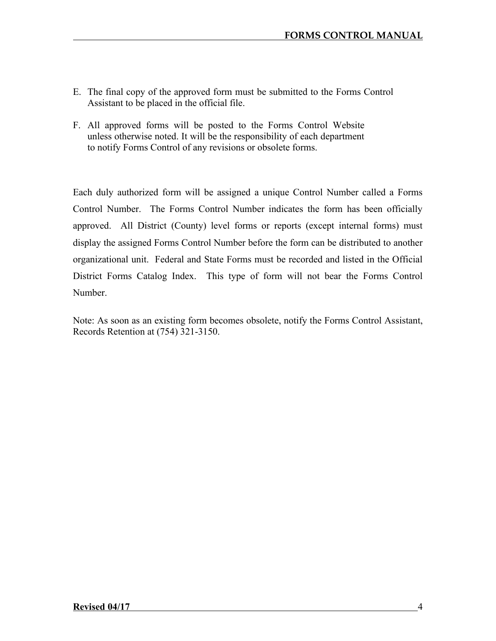- E. The final copy of the approved form must be submitted to the Forms Control Assistant to be placed in the official file.
- F. All approved forms will be posted to the Forms Control Website unless otherwise noted. It will be the responsibility of each department to notify Forms Control of any revisions or obsolete forms.

Each duly authorized form will be assigned a unique Control Number called a Forms Control Number. The Forms Control Number indicates the form has been officially approved. All District (County) level forms or reports (except internal forms) must display the assigned Forms Control Number before the form can be distributed to another organizational unit. Federal and State Forms must be recorded and listed in the Official District Forms Catalog Index. This type of form will not bear the Forms Control Number.

Note: As soon as an existing form becomes obsolete, notify the Forms Control Assistant, Records Retention at (754) 321-3150.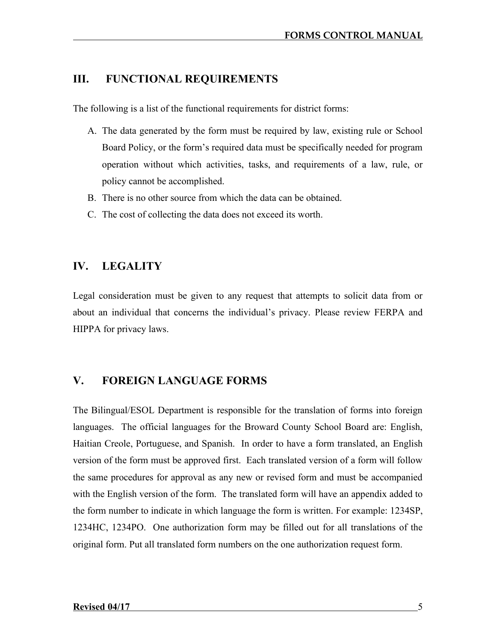#### **III. FUNCTIONAL REQUIREMENTS**

The following is a list of the functional requirements for district forms:

- A. The data generated by the form must be required by law, existing rule or School Board Policy, or the form's required data must be specifically needed for program operation without which activities, tasks, and requirements of a law, rule, or policy cannot be accomplished.
- B. There is no other source from which the data can be obtained.
- C. The cost of collecting the data does not exceed its worth.

#### **IV. LEGALITY**

Legal consideration must be given to any request that attempts to solicit data from or about an individual that concerns the individual's privacy. Please review FERPA and HIPPA for privacy laws.

#### **V. FOREIGN LANGUAGE FORMS**

The Bilingual/ESOL Department is responsible for the translation of forms into foreign languages. The official languages for the Broward County School Board are: English, Haitian Creole, Portuguese, and Spanish. In order to have a form translated, an English version of the form must be approved first. Each translated version of a form will follow the same procedures for approval as any new or revised form and must be accompanied with the English version of the form. The translated form will have an appendix added to the form number to indicate in which language the form is written. For example: 1234SP, 1234HC, 1234PO. One authorization form may be filled out for all translations of the original form. Put all translated form numbers on the one authorization request form.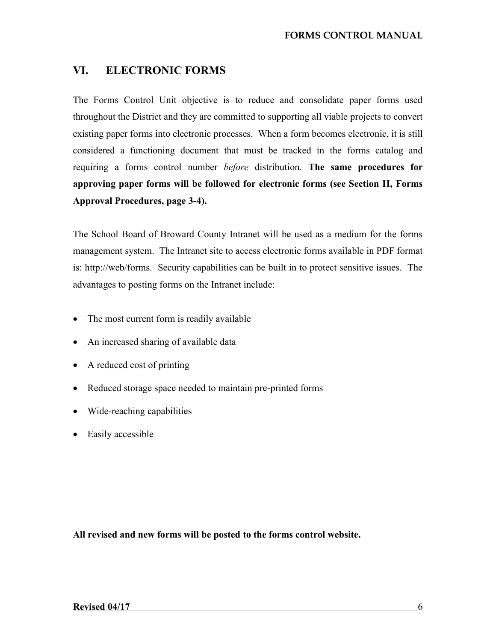### **VI. ELECTRONIC FORMS**

The Forms Control Unit objective is to reduce and consolidate paper forms used throughout the District and they are committed to supporting all viable projects to convert existing paper forms into electronic processes. When a form becomes electronic, it is still considered a functioning document that must be tracked in the forms catalog and requiring a forms control number *before* distribution. **The same procedures for approving paper forms will be followed for electronic forms (see Section II, Forms Approval Procedures, page 3-4).**

The School Board of Broward County Intranet will be used as a medium for the forms management system. The Intranet site to access electronic forms available in PDF format is: http://web/forms. Security capabilities can be built in to protect sensitive issues. The advantages to posting forms on the Intranet include:

- The most current form is readily available
- An increased sharing of available data
- A reduced cost of printing
- Reduced storage space needed to maintain pre-printed forms
- Wide-reaching capabilities
- Easily accessible

**All revised and new forms will be posted to the forms control website.**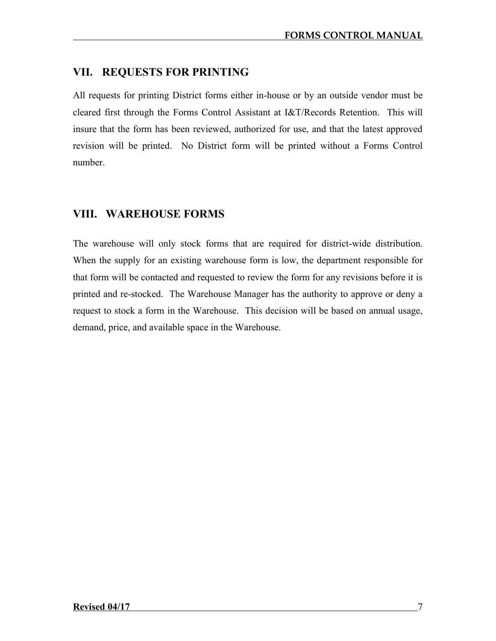#### **VII. REQUESTS FOR PRINTING**

All requests for printing District forms either in-house or by an outside vendor must be cleared first through the Forms Control Assistant at I&T/Records Retention. This will insure that the form has been reviewed, authorized for use, and that the latest approved revision will be printed. No District form will be printed without a Forms Control number.

#### **VIII. WAREHOUSE FORMS**

The warehouse will only stock forms that are required for district-wide distribution. When the supply for an existing warehouse form is low, the department responsible for that form will be contacted and requested to review the form for any revisions before it is printed and re-stocked. The Warehouse Manager has the authority to approve or deny a request to stock a form in the Warehouse. This decision will be based on annual usage, demand, price, and available space in the Warehouse.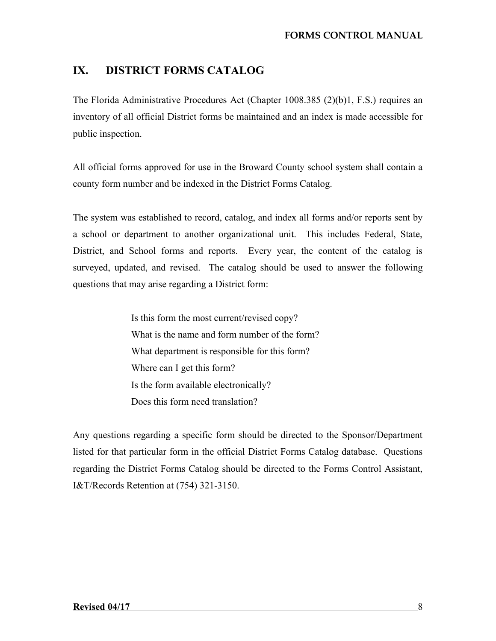### **IX. DISTRICT FORMS CATALOG**

The Florida Administrative Procedures Act (Chapter 1008.385 (2)(b)1, F.S.) requires an inventory of all official District forms be maintained and an index is made accessible for public inspection.

All official forms approved for use in the Broward County school system shall contain a county form number and be indexed in the District Forms Catalog.

The system was established to record, catalog, and index all forms and/or reports sent by a school or department to another organizational unit. This includes Federal, State, District, and School forms and reports. Every year, the content of the catalog is surveyed, updated, and revised. The catalog should be used to answer the following questions that may arise regarding a District form:

> Is this form the most current/revised copy? What is the name and form number of the form? What department is responsible for this form? Where can I get this form? Is the form available electronically? Does this form need translation?

Any questions regarding a specific form should be directed to the Sponsor/Department listed for that particular form in the official District Forms Catalog database. Questions regarding the District Forms Catalog should be directed to the Forms Control Assistant, I&T/Records Retention at (754) 321-3150.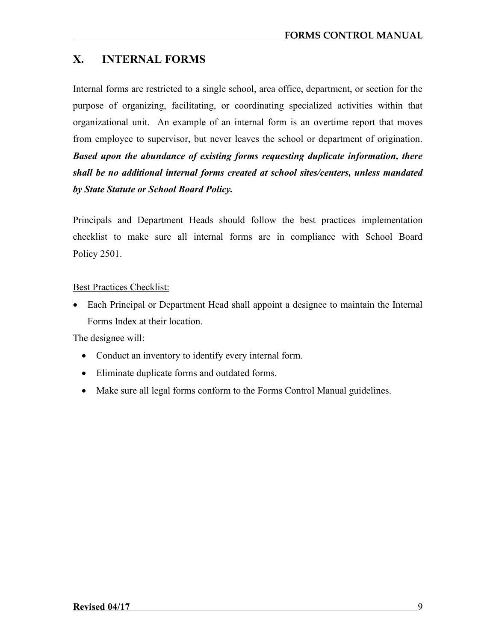### **X. INTERNAL FORMS**

Internal forms are restricted to a single school, area office, department, or section for the purpose of organizing, facilitating, or coordinating specialized activities within that organizational unit. An example of an internal form is an overtime report that moves from employee to supervisor, but never leaves the school or department of origination. *Based upon the abundance of existing forms requesting duplicate information, there shall be no additional internal forms created at school sites/centers, unless mandated by State Statute or School Board Policy.*

Principals and Department Heads should follow the best practices implementation checklist to make sure all internal forms are in compliance with School Board Policy 2501.

#### Best Practices Checklist:

 Each Principal or Department Head shall appoint a designee to maintain the Internal Forms Index at their location.

The designee will:

- Conduct an inventory to identify every internal form.
- Eliminate duplicate forms and outdated forms.
- Make sure all legal forms conform to the Forms Control Manual guidelines.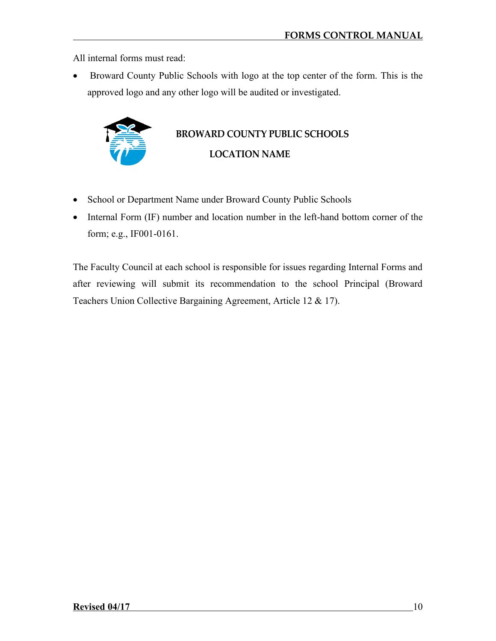All internal forms must read:

 Broward County Public Schools with logo at the top center of the form. This is the approved logo and any other logo will be audited or investigated.

## **BROWARD COUNTY PUBLIC SCHOOLS LOCATION NAME**

- School or Department Name under Broward County Public Schools
- Internal Form (IF) number and location number in the left-hand bottom corner of the form; e.g., IF001-0161.

The Faculty Council at each school is responsible for issues regarding Internal Forms and after reviewing will submit its recommendation to the school Principal (Broward Teachers Union Collective Bargaining Agreement, Article 12 & 17).